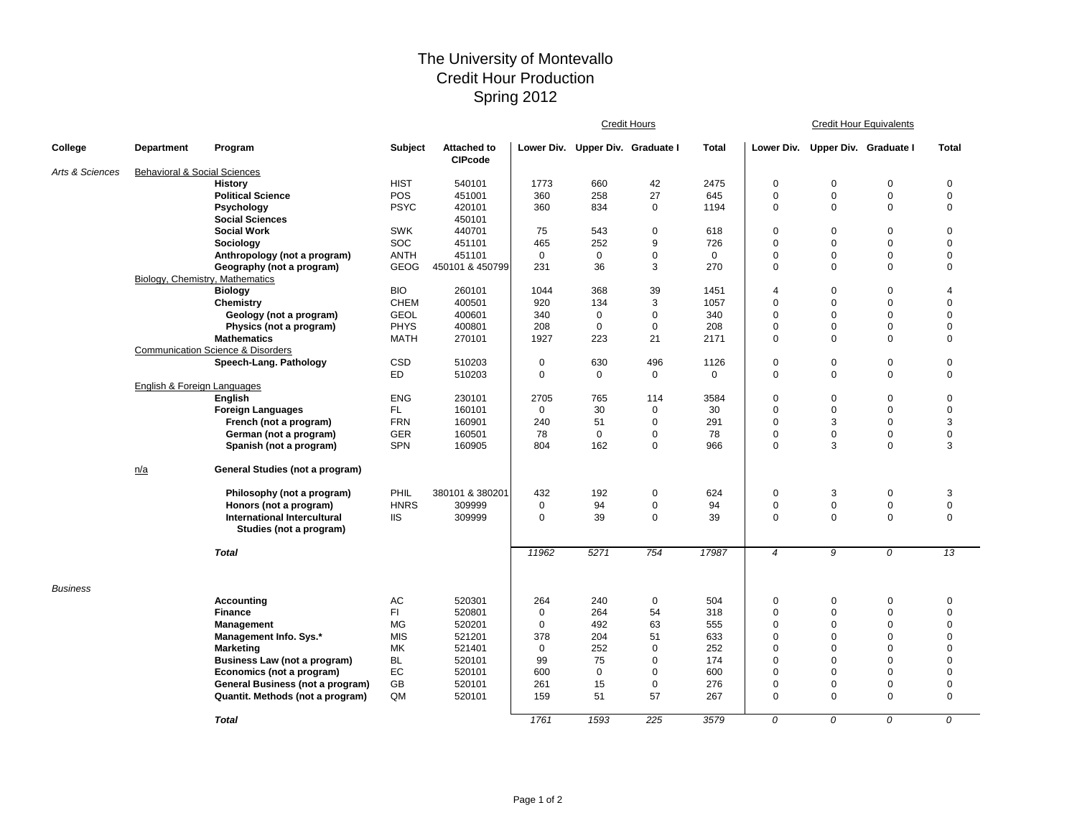## The University of Montevallo Credit Hour Production Spring 2012

|                 |                                         |                                                               |                |                                      | <b>Credit Hours</b> |                                  |             |              | <b>Credit Hour Equivalents</b> |                |                       |                 |  |
|-----------------|-----------------------------------------|---------------------------------------------------------------|----------------|--------------------------------------|---------------------|----------------------------------|-------------|--------------|--------------------------------|----------------|-----------------------|-----------------|--|
| College         | <b>Department</b>                       | Program                                                       | <b>Subject</b> | <b>Attached to</b><br><b>CIPcode</b> |                     | Lower Div. Upper Div. Graduate I |             | <b>Total</b> | Lower Div.                     |                | Upper Div. Graduate I | <b>Total</b>    |  |
| Arts & Sciences | <b>Behavioral &amp; Social Sciences</b> |                                                               |                |                                      |                     |                                  |             |              |                                |                |                       |                 |  |
|                 |                                         | <b>History</b>                                                | <b>HIST</b>    | 540101                               | 1773                | 660                              | 42          | 2475         | $\mathbf 0$                    | $\Omega$       | $\mathbf 0$           | $\mathsf 0$     |  |
|                 |                                         | <b>Political Science</b>                                      | POS            | 451001                               | 360                 | 258                              | 27          | 645          | $\mathbf 0$                    | $\mathbf 0$    | $\mathbf 0$           | $\mathbf 0$     |  |
|                 |                                         | Psychology                                                    | <b>PSYC</b>    | 420101                               | 360                 | 834                              | $\mathbf 0$ | 1194         | $\mathbf 0$                    | $\mathbf 0$    | $\mathbf 0$           | 0               |  |
|                 |                                         | <b>Social Sciences</b>                                        |                | 450101                               |                     |                                  |             |              |                                |                |                       |                 |  |
|                 |                                         | <b>Social Work</b>                                            | <b>SWK</b>     | 440701                               | 75                  | 543                              | $\mathbf 0$ | 618          | $\mathbf 0$                    | $\mathbf 0$    | $\mathbf 0$           | $\mathbf 0$     |  |
|                 |                                         | Sociology                                                     | SOC            | 451101                               | 465                 | 252                              | 9           | 726          | $\mathbf 0$                    | $\mathbf 0$    | $\mathbf 0$           | 0               |  |
|                 |                                         | Anthropology (not a program)                                  | <b>ANTH</b>    | 451101                               | $\mathbf 0$         | $\mathbf 0$                      | $\mathbf 0$ | $\mathbf 0$  | $\mathbf 0$                    | $\overline{0}$ | $\mathbf 0$           | 0               |  |
|                 |                                         | Geography (not a program)                                     | GEOG           | 450101 & 450799                      | 231                 | 36                               | $\sqrt{3}$  | 270          | $\mathbf 0$                    | $\mathbf 0$    | $\mathbf 0$           | $\mathbf 0$     |  |
|                 |                                         | <b>Biology, Chemistry, Mathematics</b>                        |                |                                      |                     |                                  |             |              |                                |                |                       |                 |  |
|                 |                                         | <b>Biology</b>                                                | <b>BIO</b>     | 260101                               | 1044                | 368                              | 39          | 1451         | $\overline{4}$                 | $\mathbf 0$    | $\mathbf 0$           | $\overline{4}$  |  |
|                 |                                         | Chemistry                                                     | <b>CHEM</b>    | 400501                               | 920                 | 134                              | 3           | 1057         | $\mathbf 0$                    | $\mathbf 0$    | $\mathbf 0$           | 0               |  |
|                 |                                         | Geology (not a program)                                       | <b>GEOL</b>    | 400601                               | 340                 | $\mathbf 0$                      | $\mathbf 0$ | 340          | $\mathbf 0$                    | $\mathbf 0$    | $\mathbf 0$           | 0               |  |
|                 |                                         | Physics (not a program)                                       | <b>PHYS</b>    | 400801                               | 208                 | $\mathbf 0$                      | $\mathbf 0$ | 208          | 0                              | 0              | $\mathbf 0$           | 0               |  |
|                 |                                         | <b>Mathematics</b>                                            | <b>MATH</b>    | 270101                               | 1927                | 223                              | 21          | 2171         | $\mathbf 0$                    | $\Omega$       | $\mathbf 0$           | $\mathbf 0$     |  |
|                 |                                         | <b>Communication Science &amp; Disorders</b>                  |                |                                      |                     |                                  |             |              |                                |                |                       |                 |  |
|                 |                                         | Speech-Lang. Pathology                                        | CSD            | 510203                               | $\mathbf 0$         | 630                              | 496         | 1126         | $\mathbf 0$                    | $\pmb{0}$      | $\mathbf 0$           | $\mathsf 0$     |  |
|                 |                                         |                                                               | <b>ED</b>      | 510203                               | 0                   | $\mathbf 0$                      | $\mathbf 0$ | $\mathbf 0$  | $\mathsf 0$                    | $\Omega$       | $\mathbf 0$           | $\mathbf 0$     |  |
|                 | English & Foreign Languages             |                                                               |                |                                      |                     |                                  |             |              |                                |                |                       |                 |  |
|                 |                                         | <b>English</b>                                                | <b>ENG</b>     | 230101                               | 2705                | 765                              | 114         | 3584         | $\mathbf 0$                    | $\mathbf 0$    | $\mathbf 0$           | $\mathbf 0$     |  |
|                 |                                         | <b>Foreign Languages</b>                                      | FL.            | 160101                               | $\mathbf 0$         | 30                               | $\mathbf 0$ | 30           | $\mathbf 0$                    | $\Omega$       | $\mathbf 0$           | $\mathsf 0$     |  |
|                 |                                         | French (not a program)                                        | <b>FRN</b>     | 160901                               | 240                 | 51                               | $\mathbf 0$ | 291          | $\mathbf 0$                    | 3              | $\mathbf 0$           | 3               |  |
|                 |                                         | German (not a program)                                        | <b>GER</b>     | 160501                               | 78                  | $\mathbf 0$                      | $\mathbf 0$ | 78           | 0                              | 0              | $\pmb{0}$             | 0               |  |
|                 |                                         | Spanish (not a program)                                       | <b>SPN</b>     | 160905                               | 804                 | 162                              | $\mathbf 0$ | 966          | $\mathbf 0$                    | 3              | $\mathbf 0$           | 3               |  |
|                 | n/a                                     | General Studies (not a program)                               |                |                                      |                     |                                  |             |              |                                |                |                       |                 |  |
|                 |                                         | Philosophy (not a program)                                    | PHIL           | 380101 & 380201                      | 432                 | 192                              | $\pmb{0}$   | 624          | $\pmb{0}$                      | 3              | $\pmb{0}$             | 3               |  |
|                 |                                         | Honors (not a program)                                        | <b>HNRS</b>    | 309999                               | $\mathbf 0$         | 94                               | $\mathbf 0$ | 94           | $\mathbf 0$                    | $\mathbf 0$    | $\mathbf 0$           | $\mathbf 0$     |  |
|                 |                                         | <b>International Intercultural</b><br>Studies (not a program) | <b>IIS</b>     | 309999                               | $\mathbf 0$         | 39                               | $\mathbf 0$ | 39           | $\mathbf 0$                    | $\Omega$       | $\mathbf 0$           | $\mathbf 0$     |  |
|                 |                                         | <b>Total</b>                                                  |                |                                      | 11962               | 5271                             | 754         | 17987        | $\overline{4}$                 | 9              | 0                     | $\overline{13}$ |  |
| <b>Business</b> |                                         |                                                               |                |                                      |                     |                                  |             |              |                                |                |                       |                 |  |
|                 |                                         | Accounting                                                    | AC             | 520301                               | 264                 | 240                              | $\mathbf 0$ | 504          | $\mathbf 0$                    | 0              | 0                     | $\pmb{0}$       |  |
|                 |                                         | <b>Finance</b>                                                | FI.            | 520801                               | $\mathbf 0$         | 264                              | 54          | 318          | $\mathbf 0$                    | $\Omega$       | $\mathbf 0$           | $\mathbf 0$     |  |
|                 |                                         | Management                                                    | <b>MG</b>      | 520201                               | $\mathbf 0$         | 492                              | 63          | 555          | $\mathbf 0$                    | $\Omega$       | $\mathbf 0$           | $\mathbf 0$     |  |
|                 |                                         | Management Info. Sys.*                                        | <b>MIS</b>     | 521201                               | 378                 | 204                              | 51          | 633          | $\mathbf 0$                    | $\Omega$       | $\mathbf 0$           | 0               |  |
|                 |                                         | <b>Marketing</b>                                              | MK             | 521401                               | $\mathbf 0$         | 252                              | $\mathbf 0$ | 252          | $\mathbf 0$                    | $\mathbf 0$    | $\mathbf 0$           | 0               |  |
|                 |                                         | Business Law (not a program)                                  | BL             | 520101                               | 99                  | 75                               | $\mathbf 0$ | 174          | 0                              | $\Omega$       | $\mathbf 0$           | 0               |  |
|                 |                                         | Economics (not a program)                                     | EC             | 520101                               | 600                 | $\mathbf 0$                      | $\mathbf 0$ | 600          | $\mathbf 0$                    | $\Omega$       | $\mathbf 0$           | $\mathbf 0$     |  |
|                 |                                         | General Business (not a program)                              | GB             | 520101                               | 261                 | 15                               | $\mathbf 0$ | 276          | $\mathbf 0$                    | $\mathbf 0$    | $\mathbf 0$           | 0               |  |
|                 |                                         | Quantit. Methods (not a program)                              | QM             | 520101                               | 159                 | 51                               | 57          | 267          | $\mathbf 0$                    | $\Omega$       | $\mathbf 0$           | $\mathbf 0$     |  |
|                 |                                         | <b>Total</b>                                                  |                |                                      | 1761                | 1593                             | 225         | 3579         | 0                              | 0              | 0                     | 0               |  |